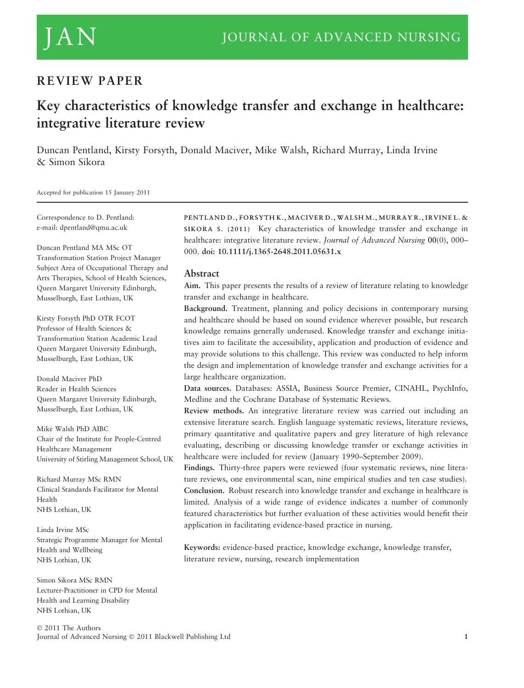# REVIEW PAPER

# Key characteristics of knowledge transfer and exchange in healthcare: integrative literature review

Duncan Pentland, Kirsty Forsyth, Donald Maciver, Mike Walsh, Richard Murray, Linda Irvine & Simon Sikora

Accepted for publication 15 January 2011

Correspondence to D. Pentland: e-mail: dpentland@qmu.ac.uk

Duncan Pentland MA MSc OT Transformation Station Project Manager Subject Area of Occupational Therapy and Arts Therapies, School of Health Sciences, Queen Margaret University Edinburgh, Musselburgh, East Lothian, UK

Kirsty Forsyth PhD OTR FCOT Professor of Health Sciences & Transformation Station Academic Lead Queen Margaret University Edinburgh, Musselburgh, East Lothian, UK

Donald Maciver PhD Reader in Health Sciences Queen Margaret University Edinburgh, Musselburgh, East Lothian, UK

Mike Walsh PhD AIBC Chair of the Institute for People-Centred Healthcare Management University of Stirling Management School, UK

Richard Murray MSc RMN Clinical Standards Facilitator for Mental Health NHS Lothian, UK

Linda Irvine MSc Strategic Programme Manager for Mental Health and Wellbeing NHS Lothian, UK

Simon Sikora MSc RMN Lecturer-Practitioner in CPD for Mental Health and Learning Disability NHS Lothian, UK

© 2011 The Authors Journal of Advanced Nursing © 2011 Blackwell Publishing Ltd 1996 and 1997 and 1997 and 1998 and 1997 and 1998 and 1

PENTLAND D., FORSYTH K., MACIVER D., WALSH M., MURRAY R., IRVINE L. & SIKORA S. (2011) Key characteristics of knowledge transfer and exchange in healthcare: integrative literature review. Journal of Advanced Nursing 00(0), 000-000. doi: 10.1111/j.1365-2648.2011.05631.x

#### Abstract

Aim. This paper presents the results of a review of literature relating to knowledge transfer and exchange in healthcare.

Background. Treatment, planning and policy decisions in contemporary nursing and healthcare should be based on sound evidence wherever possible, but research knowledge remains generally underused. Knowledge transfer and exchange initiatives aim to facilitate the accessibility, application and production of evidence and may provide solutions to this challenge. This review was conducted to help inform the design and implementation of knowledge transfer and exchange activities for a large healthcare organization.

Data sources. Databases: ASSIA, Business Source Premier, CINAHL, PsychInfo, Medline and the Cochrane Database of Systematic Reviews.

Review methods. An integrative literature review was carried out including an extensive literature search. English language systematic reviews, literature reviews, primary quantitative and qualitative papers and grey literature of high relevance evaluating, describing or discussing knowledge transfer or exchange activities in healthcare were included for review (January 1990–September 2009).

Findings. Thirty-three papers were reviewed (four systematic reviews, nine literature reviews, one environmental scan, nine empirical studies and ten case studies). Conclusion. Robust research into knowledge transfer and exchange in healthcare is limited. Analysis of a wide range of evidence indicates a number of commonly featured characteristics but further evaluation of these activities would benefit their application in facilitating evidence-based practice in nursing.

Keywords: evidence-based practice, knowledge exchange, knowledge transfer, literature review, nursing, research implementation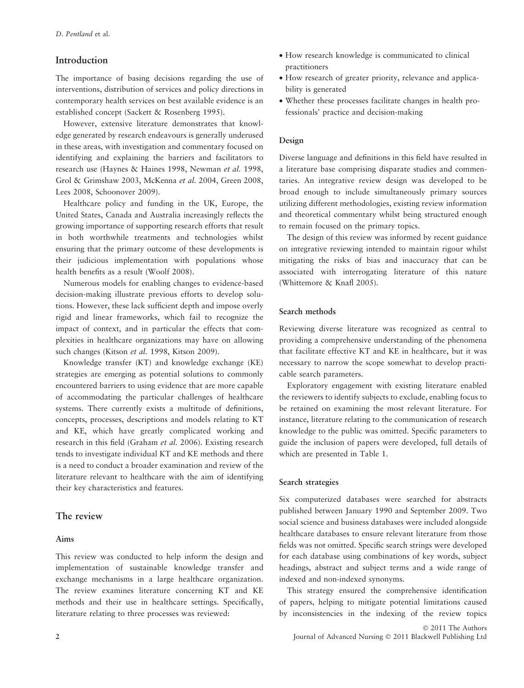### Introduction

The importance of basing decisions regarding the use of interventions, distribution of services and policy directions in contemporary health services on best available evidence is an established concept (Sackett & Rosenberg 1995).

However, extensive literature demonstrates that knowledge generated by research endeavours is generally underused in these areas, with investigation and commentary focused on identifying and explaining the barriers and facilitators to research use (Haynes & Haines 1998, Newman et al. 1998, Grol & Grimshaw 2003, McKenna et al. 2004, Green 2008, Lees 2008, Schoonover 2009).

Healthcare policy and funding in the UK, Europe, the United States, Canada and Australia increasingly reflects the growing importance of supporting research efforts that result in both worthwhile treatments and technologies whilst ensuring that the primary outcome of these developments is their judicious implementation with populations whose health benefits as a result (Woolf 2008).

Numerous models for enabling changes to evidence-based decision-making illustrate previous efforts to develop solutions. However, these lack sufficient depth and impose overly rigid and linear frameworks, which fail to recognize the impact of context, and in particular the effects that complexities in healthcare organizations may have on allowing such changes (Kitson et al. 1998, Kitson 2009).

Knowledge transfer (KT) and knowledge exchange (KE) strategies are emerging as potential solutions to commonly encountered barriers to using evidence that are more capable of accommodating the particular challenges of healthcare systems. There currently exists a multitude of definitions, concepts, processes, descriptions and models relating to KT and KE, which have greatly complicated working and research in this field (Graham et al. 2006). Existing research tends to investigate individual KT and KE methods and there is a need to conduct a broader examination and review of the literature relevant to healthcare with the aim of identifying their key characteristics and features.

# The review

#### Aims

This review was conducted to help inform the design and implementation of sustainable knowledge transfer and exchange mechanisms in a large healthcare organization. The review examines literature concerning KT and KE methods and their use in healthcare settings. Specifically, literature relating to three processes was reviewed:

- How research knowledge is communicated to clinical practitioners
- How research of greater priority, relevance and applicability is generated
- Whether these processes facilitate changes in health professionals' practice and decision-making

#### Design

Diverse language and definitions in this field have resulted in a literature base comprising disparate studies and commentaries. An integrative review design was developed to be broad enough to include simultaneously primary sources utilizing different methodologies, existing review information and theoretical commentary whilst being structured enough to remain focused on the primary topics.

The design of this review was informed by recent guidance on integrative reviewing intended to maintain rigour whilst mitigating the risks of bias and inaccuracy that can be associated with interrogating literature of this nature (Whittemore & Knafl 2005).

#### Search methods

Reviewing diverse literature was recognized as central to providing a comprehensive understanding of the phenomena that facilitate effective KT and KE in healthcare, but it was necessary to narrow the scope somewhat to develop practicable search parameters.

Exploratory engagement with existing literature enabled the reviewers to identify subjects to exclude, enabling focus to be retained on examining the most relevant literature. For instance, literature relating to the communication of research knowledge to the public was omitted. Specific parameters to guide the inclusion of papers were developed, full details of which are presented in Table 1.

#### Search strategies

Six computerized databases were searched for abstracts published between January 1990 and September 2009. Two social science and business databases were included alongside healthcare databases to ensure relevant literature from those fields was not omitted. Specific search strings were developed for each database using combinations of key words, subject headings, abstract and subject terms and a wide range of indexed and non-indexed synonyms.

This strategy ensured the comprehensive identification of papers, helping to mitigate potential limitations caused by inconsistencies in the indexing of the review topics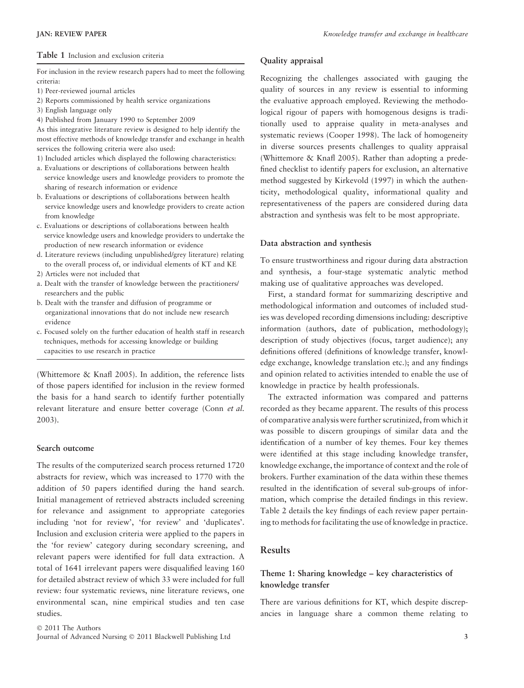#### Table 1 Inclusion and exclusion criteria

For inclusion in the review research papers had to meet the following criteria:

- 1) Peer-reviewed journal articles
- 2) Reports commissioned by health service organizations
- 3) English language only
- 4) Published from January 1990 to September 2009

As this integrative literature review is designed to help identify the most effective methods of knowledge transfer and exchange in health services the following criteria were also used:

- 1) Included articles which displayed the following characteristics:
- a. Evaluations or descriptions of collaborations between health service knowledge users and knowledge providers to promote the sharing of research information or evidence
- b. Evaluations or descriptions of collaborations between health service knowledge users and knowledge providers to create action from knowledge
- c. Evaluations or descriptions of collaborations between health service knowledge users and knowledge providers to undertake the production of new research information or evidence
- d. Literature reviews (including unpublished/grey literature) relating to the overall process of, or individual elements of KT and KE
- 2) Articles were not included that
- a. Dealt with the transfer of knowledge between the practitioners/ researchers and the public
- b. Dealt with the transfer and diffusion of programme or organizational innovations that do not include new research evidence
- c. Focused solely on the further education of health staff in research techniques, methods for accessing knowledge or building capacities to use research in practice

(Whittemore & Knafl 2005). In addition, the reference lists of those papers identified for inclusion in the review formed the basis for a hand search to identify further potentially relevant literature and ensure better coverage (Conn et al. 2003).

### Search outcome

The results of the computerized search process returned 1720 abstracts for review, which was increased to 1770 with the addition of 50 papers identified during the hand search. Initial management of retrieved abstracts included screening for relevance and assignment to appropriate categories including 'not for review', 'for review' and 'duplicates'. Inclusion and exclusion criteria were applied to the papers in the 'for review' category during secondary screening, and relevant papers were identified for full data extraction. A total of 1641 irrelevant papers were disqualified leaving 160 for detailed abstract review of which 33 were included for full review: four systematic reviews, nine literature reviews, one environmental scan, nine empirical studies and ten case studies.

© 2011 The Authors Journal of Advanced Nursing - 2011 Blackwell Publishing Ltd 3

#### Quality appraisal

Recognizing the challenges associated with gauging the quality of sources in any review is essential to informing the evaluative approach employed. Reviewing the methodological rigour of papers with homogenous designs is traditionally used to appraise quality in meta-analyses and systematic reviews (Cooper 1998). The lack of homogeneity in diverse sources presents challenges to quality appraisal (Whittemore & Knafl 2005). Rather than adopting a predefined checklist to identify papers for exclusion, an alternative method suggested by Kirkevold (1997) in which the authenticity, methodological quality, informational quality and representativeness of the papers are considered during data abstraction and synthesis was felt to be most appropriate.

#### Data abstraction and synthesis

To ensure trustworthiness and rigour during data abstraction and synthesis, a four-stage systematic analytic method making use of qualitative approaches was developed.

First, a standard format for summarizing descriptive and methodological information and outcomes of included studies was developed recording dimensions including: descriptive information (authors, date of publication, methodology); description of study objectives (focus, target audience); any definitions offered (definitions of knowledge transfer, knowledge exchange, knowledge translation etc.); and any findings and opinion related to activities intended to enable the use of knowledge in practice by health professionals.

The extracted information was compared and patterns recorded as they became apparent. The results of this process of comparative analysis were further scrutinized, from which it was possible to discern groupings of similar data and the identification of a number of key themes. Four key themes were identified at this stage including knowledge transfer, knowledge exchange, the importance of context and the role of brokers. Further examination of the data within these themes resulted in the identification of several sub-groups of information, which comprise the detailed findings in this review. Table 2 details the key findings of each review paper pertaining to methods for facilitating the use of knowledge in practice.

### Results

# Theme 1: Sharing knowledge – key characteristics of knowledge transfer

There are various definitions for KT, which despite discrepancies in language share a common theme relating to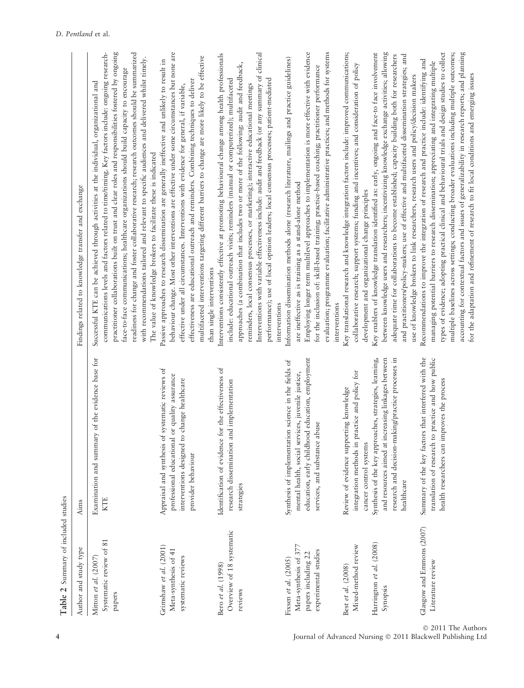| Table 2 Summary of included studies                                                          |                                                                                                                                                                                                |                                                                                                                                                                                                                                                                                                                                                                                                                                                                                                                                                                                                                                                                      |
|----------------------------------------------------------------------------------------------|------------------------------------------------------------------------------------------------------------------------------------------------------------------------------------------------|----------------------------------------------------------------------------------------------------------------------------------------------------------------------------------------------------------------------------------------------------------------------------------------------------------------------------------------------------------------------------------------------------------------------------------------------------------------------------------------------------------------------------------------------------------------------------------------------------------------------------------------------------------------------|
| Author and study type                                                                        | Aims                                                                                                                                                                                           | Findings related to knowledge transfer and exchange                                                                                                                                                                                                                                                                                                                                                                                                                                                                                                                                                                                                                  |
| Systematic review of 81<br>Mitton et al. (2007)<br>papers                                    | Examination and summary of the evidence base for<br><b>KTE</b>                                                                                                                                 | practitioner collaborations built on trust and clear roles and responsibilities fostered by ongoing<br>readiness for change and foster collaborative research; research outcomes should be summarized<br>communications levels and factors related to time/timing. Key factors include: ongoing research-<br>with recommendations tailored and relevant to specific audiences and delivered whilst timely.<br>face-to-face communications; healthcare organizations should build capacity to encourage<br>Successful KTE can be achieved through activities at the individual, organizational and<br>The value of knowledge brokers to facilitate these is indicated |
| Grimshaw et al. (2001)<br>Meta-synthesis of 41<br>systematic reviews                         | of systematic reviews of<br>professional educational or quality assurance<br>to change healthcare<br>Appraisal and synthesis<br>interventions designed<br>provider behaviour                   | behaviour change. Most other interventions are effective under some circumstances but none are<br>multifaceted interventions targeting different barriers to change are more likely to be effective<br>Passive approaches to research dissemination are generally ineffective and unlikely to result in<br>effectiveness are educational outreach and reminders. Combining techniques to deliver<br>effective under all circumstances. Interventions with evidence for general, if variable,<br>than single interventions                                                                                                                                            |
| Overview of 18 systematic<br>Bero et al. (1998)<br>reviews                                   | Identification of evidence for the effectiveness of<br>and implementation<br>research dissemination<br>strategies                                                                              | Interventions with variable effectiveness include: audit and feedback (or any summary of clinical<br>Interventions consistently effective at promoting behavioural change among health professionals<br>approaches (a combination that includes two or more of the following: audit and feedback,<br>performance); use of local opinion leaders; local consensus processes; patient-mediated<br>include: educational outreach visits; reminders (manual or computerized); multifaceted<br>reminders, local consensus processes, or marketing); interactive educational meetings<br>interventions                                                                     |
| Meta-synthesis of 377<br>experimental studies<br>papers including 22<br>Fixsen et al. (2005) | education, early childhood education, employment<br>Synthesis of implementation science in the fields of<br>mental health, social services, juvenile justice,<br>services, and substance abuse | Employing longer term multilevel approaches to implementation is more effective with evidence<br>evaluation; programme evaluation; facilitative administrative practices; and methods for systems<br>Information dissemination methods alone (research literature, mailings and practice guidelines)<br>for the inclusion of: skill-based training; practice-based coaching; practitioner performance<br>are ineffective as is training as a stand-alone method<br>interventions                                                                                                                                                                                     |
| Mixed-method review<br>Best et al. (2008)                                                    | integration methods in practice and policy for<br>Review of evidence supporting knowledge<br>cancer control systems                                                                            | Key translational research and knowledge integration factors include: improved communications;<br>collaborative research; support systems; funding and incentives; and consideration of policy<br>development and organizational change principles                                                                                                                                                                                                                                                                                                                                                                                                                   |
| Harrington et al. (2008)<br>Synopsis                                                         | increasing linkages between<br>research and decision-making/practice processes in<br>Synthesis of the key approaches, strategies, learning,<br>and resources aimed at<br>healthcare            | between knowledge users and researchers; incentivizing knowledge exchange activities; allowing<br>Key enablers of knowledge translation identified as: early, ongoing and face-to face involvement<br>adequate time for collaborations to become established; capacity building both for researchers<br>and practitioners/policy-makers; use of effective and multifaceted dissemination strategies; and<br>use of knowledge brokers to link researchers, research users and policy/decision makers                                                                                                                                                                  |
| Glasgow and Emmons (2007)<br>Literature review                                               | Summary of the key factors that interfered with the<br>to practice and how public<br>improves the process<br>translation of research<br>health researchers can                                 | types of evidence; adopting practical clinical and behavioural trials and design studies to collect<br>accounting for contextual factors and issues of generalizability in research reports, and planning<br>multiple baselines across settings; conducting broader evaluations including multiple outcomes;<br>Recommendations to improve the integration of research and practice include: identifying and<br>managing potential barriers to research dissemination; appreciating and integrating multiple<br>for the adaptation and refinement of research to fit local conditions and emerging issues                                                            |

© 2011 The Authors 4 Journal of Advanced Nursing - 2011 Blackwell Publishing Ltd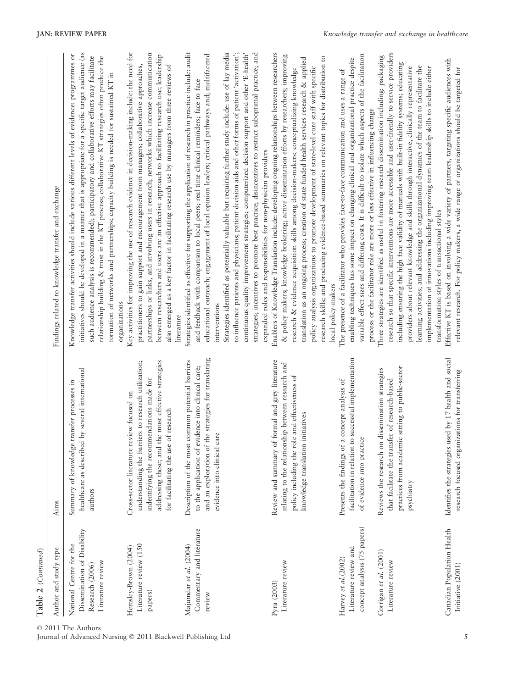| Table 2 (Continued)                                                                            |                                                                                                                                                                                                                                                    |                                                                                                                                                                                                                                                                                                                                                                                                                                                                                                                                                                                                                                                                                                                                                                                                                  |
|------------------------------------------------------------------------------------------------|----------------------------------------------------------------------------------------------------------------------------------------------------------------------------------------------------------------------------------------------------|------------------------------------------------------------------------------------------------------------------------------------------------------------------------------------------------------------------------------------------------------------------------------------------------------------------------------------------------------------------------------------------------------------------------------------------------------------------------------------------------------------------------------------------------------------------------------------------------------------------------------------------------------------------------------------------------------------------------------------------------------------------------------------------------------------------|
| Author and study type                                                                          | Aims                                                                                                                                                                                                                                               | Findings related to knowledge transfer and exchange                                                                                                                                                                                                                                                                                                                                                                                                                                                                                                                                                                                                                                                                                                                                                              |
| Dissemination of Disability<br>National Centre for the<br>Literature review<br>Research (2006) | healthcare as described by several international<br>transfer processes in<br>Summary of knowledge<br>authors                                                                                                                                       | initiatives should be developed in a manner that is appropriate for a specific target audience (as<br>Knowledge transfer activities should include various different levels of evidence: programmes or<br>relationship building & trust in the KT process; collaborative KT strategies often produce the<br>such audience analysis is recommended); participatory and collaborative efforts may facilitate<br>formation of networks and partnerships; capacity building is needed for sustained KT in<br>organizations                                                                                                                                                                                                                                                                                           |
| Literature review (150<br>Hemsley-Brown (2004)<br>papers)                                      | the most effective strategies<br>understanding the barriers to research utilization;<br>indentifying the recommendations made for<br>Cross-sector literature review focused on<br>of research<br>for facilitating the use<br>addressing these; and | Key activities for improving the use of research evidence in decision-making include: the need for<br>partnerships or links, and involving users in research; networks which increase communication<br>between researchers and users are an effective approach to facilitating research use; leadership<br>practitioners to gain support and encouragement from managers; collaborative approaches,<br>also emerged as a key factor in facilitating research use by managers from three reviews of<br>literature                                                                                                                                                                                                                                                                                                 |
| Commentary and literature<br>Majumdar et al. (2004)<br>review                                  | and an exploration of the strategies for translating<br>common potential barriers<br>to the application of evidence into clinical care;<br>evidence into clinical care<br>Description of the most                                                  | to influence patients and physicians; patient decision aids and other forms of patient 'activation';<br>Strategies identified as effective for supporting the application of research in practice include: audit<br>continuous quality improvement strategies; computerized decision support and other 'E-health'<br>strategies; incentives to promote best practice; disincentives to restrict suboptimal practice; and<br>Strategies identified as potentially valuable but requiring further study include: use of lay media<br>educational outreach; engagement of local opinion leaders; critical pathways and; multifaceted<br>and feedback with comparison to local peers; real-time clinical reminders; face-to-face<br>expanded roles and responsibilities for non-physician providers<br>interventions |
| Literature review<br>Pyra (2003)                                                               | Review and summary of formal and grey literature<br>relating to the relationship between research and<br>policy including the role and effectiveness of<br>initiatives<br>knowledge translation                                                    | Enablers of Knowledge Translation include: developing ongoing relationships between researchers<br>& policy makers; knowledge brokering; active dissemination efforts by researchers; improving<br>research skills; and producing evidence-based summaries on relevant topics for distribution to<br>translation as an ongoing process; creation of state-funded health services research & applied<br>policy analysis organizations to promote development of state-level core staff with specific<br>research & evidence acquisition skills among decision-makers; conceptualizing knowledge<br>local policy-makers                                                                                                                                                                                            |
| concept analysis (75 papers)<br>Literature review and<br>Harvey et al.(2002)                   | facilitation in relation to successful implementation<br>a concept analysis of<br>of evidence into practice<br>Presents the findings of                                                                                                            | variable effect sizes and differing costs. It is difficult to isolate which aspects of the facilitation<br>enabling techniques has some impact on changing clinical and organizational practice despite<br>The presence of a facilitator who provides face-to-face communication and uses a range of<br>process or the facilitator role are more or less effective in influencing change                                                                                                                                                                                                                                                                                                                                                                                                                         |
| Corrigan et al. (2001)<br>Literature review                                                    | practices from academic setting to public-sector<br>Reviews the research on dissemination strategies<br>that facilitate the transfer of research-based<br>psychiatry                                                                               | research so that specific interventions are more accessible and user-friendly to service providers<br>Three strategies are identified as useful in fostering research dissemination including: packaging<br>including ensuring the high face validity of manuals with built-in fidelity systems; educating<br>implementation of innovations including improving team leadership skills to include either<br>learning activities; and addressing the organizational dynamics of the team to facilitate the<br>providers about relevant knowledge and skills through interactive, clinically representative<br>transformation styles of transactional styles                                                                                                                                                       |
| Canadian Population Health<br>Initiative (2001)                                                | used by 17 health and social<br>research focused organizations for transferring<br>Identifies the strategies                                                                                                                                       | Effective KT is based on involving a wide variety of partners, targeting specific audiences with<br>relevant research. For policy makers, a wide range of organizations should be targeted for                                                                                                                                                                                                                                                                                                                                                                                                                                                                                                                                                                                                                   |

© 2011 The Authors

Journal of Advanced Nursing - 2011 Blackwell Publishing Ltd 5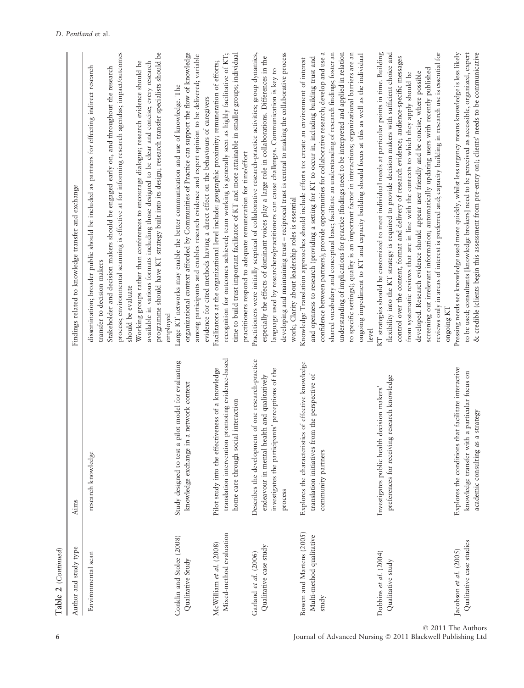| €      |
|--------|
|        |
|        |
| ī<br>ï |
|        |

| Author and study type                                         | Aims                                                                                                                                                                  | Findings related to knowledge transfer and exchange                                                                                                                                                                                                                                                                                                                                                                                                                                                                                                                                                                                                                                                                                  |
|---------------------------------------------------------------|-----------------------------------------------------------------------------------------------------------------------------------------------------------------------|--------------------------------------------------------------------------------------------------------------------------------------------------------------------------------------------------------------------------------------------------------------------------------------------------------------------------------------------------------------------------------------------------------------------------------------------------------------------------------------------------------------------------------------------------------------------------------------------------------------------------------------------------------------------------------------------------------------------------------------|
| Environmental scan                                            | research knowledge                                                                                                                                                    | process; environmental scanning is effective at for informing research agendas; impact/outcomes<br>programme should have KT strategy built into its design; research transfer specialists should be<br>Working groups rather than conferences to encourage dialogue; research evidence should be<br>available in various formats including those designed to be clear and concise; every research<br>dissemination; broader public should be included as partners for effecting indirect research<br>Stakeholder and decision makers should be engaged early on, and throughout the research<br>transfer to decision makers<br>should be evaluate<br>employed                                                                        |
| Conklin and Stolee (2008)<br>Qualitative Study                | a pilot model for evaluating<br>in a network context<br>knowledge exchange<br>Study designed to test                                                                  | organizational context afforded by Communities of Practice can support the flow of knowledge<br>among participants and enables research evidence and expert opinion to be delivered; variable<br>Large KT networks may enable the better communication and use of knowledge. The<br>evidence for cited methods having a direct effect on the behaviours of caregivers                                                                                                                                                                                                                                                                                                                                                                |
| Mixed-method evaluation<br>McWilliam et al. (2008)            | translation intervention promoting evidence-based<br>Pilot study into the effectiveness of a knowledge<br>home care through social interaction                        | time to build trust important facilitator of KT and more attainable in smaller groups; individual<br>recognition for outcomes achieved; team working is generally seen as highly facilitative of KT;<br>Facilitators at the organizational level include: geographic proximity; remuneration of efforts;<br>practitioners respond to adequate remuneration for time/effort                                                                                                                                                                                                                                                                                                                                                           |
| Qualitative case study<br>Garland et al. $(2006)$             | Describes the development of one research-practice<br>investigates the participants' perceptions of the<br>health and qualitatively<br>endeavour in mental<br>process | developing and maintaining trust - reciprocal trust is central to making the collaborative process<br>Practitioners were initially sceptical of collaborative research-practice activities; group dynamics,<br>especially the effects of dominant voices play a large role in collaborations. Differences in the<br>language used by researchers/practitioners can cause challenges. Communication is key to<br>work; Clarity about leadership roles is essential                                                                                                                                                                                                                                                                    |
| Bowen and Martens (2005)<br>Multi-method qualitative<br>study | Explores the characteristics of effective knowledge<br>from the perspective of<br>translation initiatives<br>community partners                                       | confidence between partners); provide opportunities for collaborative research; develop and use a<br>understanding of implications for practice (findings need to be interpreted and applied in relation<br>shared vocabulary and conceptual base; facilitate an understanding of research findings; foster an<br>to specific settings); quality is an important factor in interactions; organizational barriers are an<br>ongoing impediment to KT and capacity building should focus at this as well as the individual<br>and openness to research (providing a setting for KT to occur in, including building trust and<br>Knowledge Translation approaches should include efforts to: create an environment of interest<br>level |
| Dobbins et al. (2004)<br>Qualitative study                    | preferences for receiving research knowledge<br>Investigates public health decision makers'                                                                           | KT strategies should be customized to meet individual needs at particular points in time. Building<br>flexibility into the KT strategy is required to provide decision makers with sufficient choice and<br>reviews only in areas of interest is preferred and; capacity building in research use is essential for<br>control over the content, format and delivery of research evidence; audience-specific messages<br>screening out irrelevant information; automatically updating users with recently published<br>from systematic reviews that are in line with the contexts to which they apply should be<br>developed. Research evidence should appear user friendly and be concise, where possible<br>ongoing KT              |
| Qualitative case studies<br>Jacobson et al. (2005)            | Explores the conditions that facilitate interactive<br>knowledge transfer with a particular focus on<br>as a strategy<br>academic consulting                          | & credible (clients begin this assessment from pre-entry on); clients' needs to be communicative<br>to be used; consultants [knowledge brokers] need to be perceived as accessible, organized, expert<br>Pressing needs see knowledge used more quickly, whilst less urgency means knowledge is less likely                                                                                                                                                                                                                                                                                                                                                                                                                          |

© 2011 The Authors

6 Journal of Advanced Nursing © 2011 Blackwell Publishing Ltd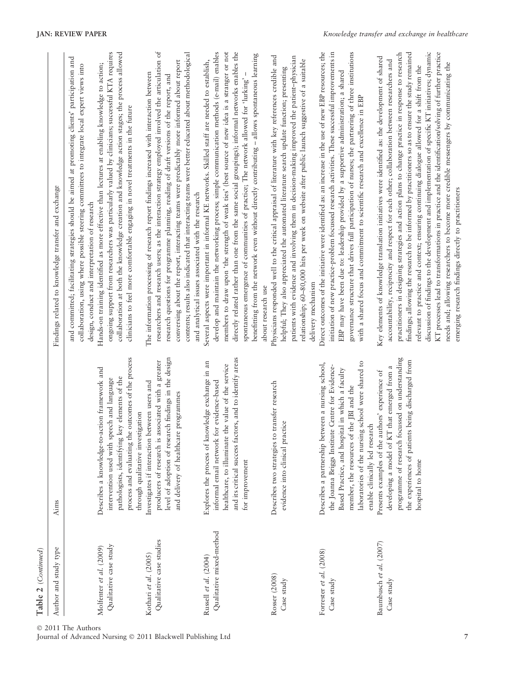| Author and study type                             | Aims                                                                                                                                                                                                                                                                                        | Findings related to knowledge transfer and exchange                                                                                                                                                                                                                                                                                                                                                                                                                                                                                                                                                                                                                                                                   |
|---------------------------------------------------|---------------------------------------------------------------------------------------------------------------------------------------------------------------------------------------------------------------------------------------------------------------------------------------------|-----------------------------------------------------------------------------------------------------------------------------------------------------------------------------------------------------------------------------------------------------------------------------------------------------------------------------------------------------------------------------------------------------------------------------------------------------------------------------------------------------------------------------------------------------------------------------------------------------------------------------------------------------------------------------------------------------------------------|
|                                                   |                                                                                                                                                                                                                                                                                             | and committed; facilitating strategies should be aimed at promoting clients' participation and<br>collaboration, using where possible steering committees to integrate local expert views into<br>design, conduct and interpretation of research                                                                                                                                                                                                                                                                                                                                                                                                                                                                      |
| Qualitative case study<br>Molfenter et al. (2009) | process and evaluating the outcomes of the process<br>Describes a knowledge-to-action framework and<br>pathologists, identifying key elements of the<br>intervention used with speech and language<br>through qualitative investigation                                                     | ongoing support from researchers was particularly valued by clinicians; successful KTA requires<br>collaboration at both the knowledge creation and knowledge action stages; the process allowed<br>Hands-on training identified as more effective than lectures at enabling knowledge to action;<br>clinicians to feel more comfortable engaging in novel treatments in the future                                                                                                                                                                                                                                                                                                                                   |
| Qualitative case studies<br>Kothari et al. (2005) | level of adoption of research findings in the design<br>is associated with a greater<br>Investigates if interaction between users and<br>and delivery of healthcare programmes<br>producers of research                                                                                     | researchers and research users; as the interaction strategy employed involved the articulation of<br>contents; results also indicated that interacting teams were better educated about methodological<br>conversing about the report, interacting teams were predictably more informed about report<br>The information processing of research report findings increased with interaction between<br>research questions for programme planning, reading of draft versions of the report, and<br>and analytical issues associated with the research                                                                                                                                                                    |
| Qualitative mixed-method<br>Russell et al. (2004) | factors, and to identify areas<br>Explores the process of knowledge exchange in an<br>healthcare, to illuminate the value of the service<br>informal email network for evidence-based<br>and its critical success<br>for improvement                                                        | directly related rather than one from the same social groupings); informal networks enables the<br>develop and maintain the networking process; simple communication methods (e-mail) enables<br>members to draw upon 'the strength of weak ties' (best source of new idea is a stranger or not<br>benefitting from the network even without directly contributing - allows spontaneous learning<br>Several aspects were important in informal KE networks. Skilled staff are needed to establish,<br>spontaneous emergence of communities of practice; The network allowed for 'lurking'<br>about research use                                                                                                       |
| Rosser (2008)<br>Case study                       | Describes two strategies to transfer research<br>practice<br>evidence into clinical                                                                                                                                                                                                         | Physicians responded well to the critical appraisal of literature with key references credible and<br>patients with evidence and involving them in decision-making improved the patient-physician<br>relationship; 60-80,000 hits per week on website after public launch suggestive of a suitable<br>helpful; They also appreciated the automated literature search update function; presenting<br>delivery mechanism                                                                                                                                                                                                                                                                                                |
| Forrester et al. (2008)<br>Case study             | laboratories of the nursing school were shared to<br>Describes a partnership between a nursing school,<br>the Joanna Briggs Institute Centre for Evidence-<br>Based Practice, and hospital in which a faculty<br>member, the resources of the JBI and the<br>enable clinically led research | Direct outcomes of the initiative were identified as: an increase in the use of new EBP resources; the<br>governance structure that drives full participation of nurses; the partnering of three institutions<br>initiation of new practice-problem focussed research activities. These successful improvements in<br>EBP may have been due to: leadership provided by a supportive administration; a shared<br>with a shared focus and commitment to scientific research and excellence in EBP                                                                                                                                                                                                                       |
| Baumbusch et al. (2007)<br>Case study             | programme of research focussed on understanding<br>the experiences of patients being discharged from<br>developing a model of KT that emerged from a<br>Presents examples of the authors' experience of<br>hospital to home                                                                 | KT processes lead to transformations in practice and the identification/solving of further practice<br>discussion of findings to the development and implementation of specific KT initiatives; dynamic<br>practitioners in designing strategies and action plans to change practice in response to research<br>findings; allowing the research to be informed by practitioners so as to ensure the study remained<br>Key elements of knowledge translation initiatives were identified as: the development of shared<br>accountability, reciprocity and respect for each other; collaboration between researchers and<br>relevant to practice and context; ensuring continuing dialogue allowed for a shift from the |

© 2011 The Authors

Table 2 (Continued)

Table 2 (Continued)

Journal of Advanced Nursing - 2011 Blackwell Publishing Ltd

needs and; allowing researchers to become more credible messengers by communicating the

needs and; allowing researchers to become more credible messengers by communicating the

emerging research findings directly to practitioners

emerging research findings directly to practitioners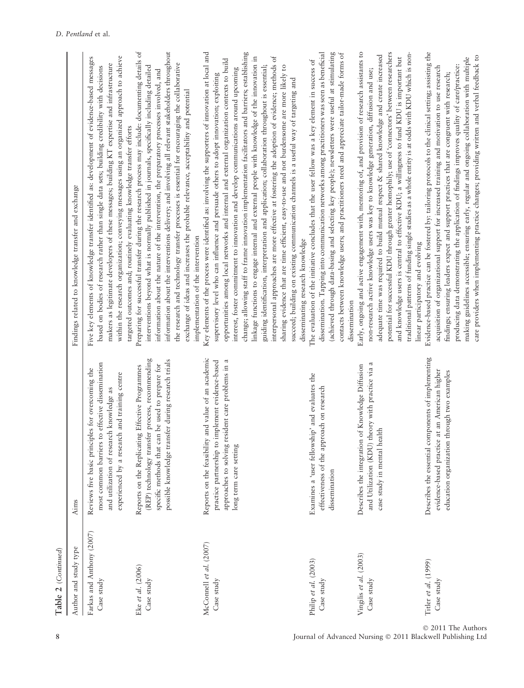| Author and study type                   | Aims                                                                                                                                                                                                         | Findings related to knowledge transfer and exchange                                                                                                                                                                                                                                                                                                                                                                                                                                                                                                                                                        |
|-----------------------------------------|--------------------------------------------------------------------------------------------------------------------------------------------------------------------------------------------------------------|------------------------------------------------------------------------------------------------------------------------------------------------------------------------------------------------------------------------------------------------------------------------------------------------------------------------------------------------------------------------------------------------------------------------------------------------------------------------------------------------------------------------------------------------------------------------------------------------------------|
| Farkas and Anthony (2007)<br>Case study | most common barriers to effective dissemination<br>Reviews five basic principles for overcoming the<br>experienced by a research and training centre<br>and utilization of research knowledge as             | Five key elements of knowledge transfer identified as<br>based on bodies of research rather than single data<br>within the research organization; conveying messag<br>targeted outcomes and; routinely evaluating knowle<br>makers as legitimate developers of these messages;                                                                                                                                                                                                                                                                                                                             |
| Eke et al. (2006)<br>Case study         | (REP) technology transfer process, recommending<br>possible knowledge transfer during research trials<br>specific methods that can be used to prepare for<br>Reports on the Replicating Effective Programmes | Preparing for successful transfer during the research<br>interventions beyond what is normally published in<br>information about the nature of the intervention, the<br>information about the interventions delivery; and in<br>the research and technology transfer processes is es<br>exchange of ideas and increases the probable releva<br>implementation of the intervention                                                                                                                                                                                                                          |
| McConnell et al. (2007)<br>Case study   | Reports on the feasibility and value of an academic<br>approaches to solving resident care problems in a<br>practice partnership to implement evidence-based<br>long term care setting                       | Key elements of the process were identified as: involvi<br>supervisory level who can influence and persuade o<br>opportunities among local networks and internal an<br>interest, foster commitment to innovation and deve<br>change; allowing staff to frame innovation impleme<br>linkage functions to engage internal and external po<br>guiding identification, interpretation and applicatio<br>interpersonal approaches are more effective at foste<br>sharing evidence that are time efficient, easy-to-use<br>succeed; building on existing communication chann<br>disseminating research knowledge |
| Philip et al. (2003)<br>Case study      | Examines a 'user fellowship' and evaluates the<br>effectiveness of the approach on research<br>dissemination                                                                                                 | The evaluation of the initiative concludes that the us<br>dissemination. Tapping into communication networ<br>(achieved through data-basing and selecting key per<br>contacts between knowledge users; and practitioner<br>dissemination                                                                                                                                                                                                                                                                                                                                                                   |
| Vingilis et al. (2003)<br>Case study    | and Utilization (KDU) theory with practice via a<br>Describes the integration of Knowledge Diffusion<br>case study in mental health                                                                          | Early, ongoing and active engagement with, mentorin<br>non-research active knowledge users was key to kn<br>adequate time was required to build mutual respect<br>potential for successful KDU through greater homop<br>and knowledge users is central to effective KDU; a<br>traditional patterns of funding single studies as a wh<br>linear participatory and evolving                                                                                                                                                                                                                                  |
| Titler et al. (1999)<br>Case study      | Describes the essential components of implementing<br>evidence-based practice at an American higher<br>education organization through two examples                                                           | findings; ensuring leaders expect and support practi<br>producing data demonstrating the application of fir<br>making guidelines accessible; ensuring early, regula<br>care providers when implementing practice changes<br>Evidence-based practice can be fostered by: tailoring<br>acquisition of organizational support for increased                                                                                                                                                                                                                                                                   |

8 Journal of Advanced Nursing © 2011 Blackwell Publishing Ltd

for successful transfer during the research process may include: documenting details of ion about the interventions delivery; and involving all relevant stakeholders throughout Preparing for successful transfer during the research process may include: documenting details of information about the interventions delivery; and involving all relevant stakeholders throughout he research organization; conveying messages using an organized approach to achieve dements of knowledge transfer identified as: development of evidence-based messages Five key elements of knowledge transfer identified as: development of evidence-based messages within the research organization; conveying messages using an organized approach to achieve trch and technology transfer processes is essential for encouraging the collaborative as legitimate developers of these messages; building KT expertise and infrastructure tions beyond what is normally published in journals, specifically including detailed i bodies of research rather than single data sets; building credibility with decisions makers as legitimate developers of these messages; building KT expertise and infrastructure the research and technology transfer processes is essential for encouraging the collaborative interventions beyond what is normally published in journals, specifically including detailed based on bodies of research rather than single data sets; building credibility with decisions ion about the nature of the intervention, the preparatory processes involved, and information about the nature of the intervention, the preparatory processes involved, and e of ideas and increases the probable relevance, acceptability and potential exchange of ideas and increases the probable relevance, acceptability and potential outcomes and; routinely evaluating knowledge transfer efforts targeted outcomes and; routinely evaluating knowledge transfer efforts elated to knowledge transfer and exchange ntation of the intervention implementation of the intervention

allowing staff to frame innovation implementation facilitators and barriers; establishing ents of the process were identified as: involving the supporters of innovation at local and Key elements of the process were identified as: involving the supporters of innovation at local and change; allowing staff to frame innovation implementation facilitators and barriers; establishing functions to engage internal and external people with knowledge of the innovation in conal approaches are more effective at fostering the adoption of evidence; methods of nities among local networks and internal and external organization contexts to build linkage functions to engage internal and external people with knowledge of the innovation in interpersonal approaches are more effective at fostering the adoption of evidence; methods of opportunities among local networks and internal and external organization contexts to build evidence that are time efficient, easy-to-use and not burdensome are more likely to identification, interpretation and application; collaboration throughout is essential; foster commitment to innovation and develop communications around upcoming guiding identification, interpretation and application; collaboration throughout is essential; sharing evidence that are time efficient, easy-to-use and not burdensome are more likely to interest, foster commitment to innovation and develop communications around upcoming ory level who can influence and persuade others to adopt innovation; exploiting supervisory level who can influence and persuade others to adopt innovation; exploiting building on existing communication channels is a useful way of targeting and succeed; building on existing communication channels is a useful way of targeting and ating research knowledge disseminating research knowledge

ation. Tapping into communication networks among practitioners was seen as beneficial d through data-basing and selecting key people); newsletters were useful at stimulating between knowledge users; and practitioners need and appreciate tailor-made forms of dissemination. Tapping into communication networks among practitioners was seen as beneficial (achieved through data-basing and selecting key people); newsletters were useful at stimulating contacts between knowledge users; and practitioners need and appreciate tailor-made forms of ation of the initiative concludes that the user fellow was a key element in success of The evaluation of the initiative concludes that the user fellow was a key element in success of ation dissemination

going and active engagement with, mentoring of, and provision of research assistants to I for successful KDU through greater homophily; use of 'connectors' between researchers Early, ongoing and active engagement with, mentoring of, and provision of research assistants to e time was required to build mutual respect & shared knowledge and create increased potential for successful KDU through greater homophily; use of 'connectors' between researchers aal patterns of funding single studies as a whole entity is at odds with KDU which is nontraditional patterns of funding single studies as a whole entity is at odds with KDU which is nonadequate time was required to build mutual respect & shared knowledge and create increased wledge users is central to effective KDU; a willingness to fund KDU is important but and knowledge users is central to effective KDU; a willingness to fund KDU is important but arch active knowledge users was key to knowledge generation, diffusion and use; non-research active knowledge users was key to knowledge generation, diffusion and use; urticipatory and evolving linear participatory and evolving

based practice can be fostered by: tailoring protocols to the clinical setting; assisting the Evidence-based practice can be fostered by: tailoring protocols to the clinical setting; assisting the care providers when implementing practice changes; providing written and verbal feedback to making guidelines accessible; ensuring early, regular and ongoing collaboration with multiple care providers when implementing practice changes; providing written and verbal feedback to making guidelines accessible; ensuring early, regular and ongoing collaboration with multiple ag data demonstrating the application of findings improves quality of care/practice: on of organizational support for increased training and motivation to use research producing data demonstrating the application of findings improves quality of care/practice: acquisition of organizational support for increased training and motivation to use research ensuring leaders expect and support practices that are congruent with research; findings; ensuring leaders expect and support practices that are congruent with research;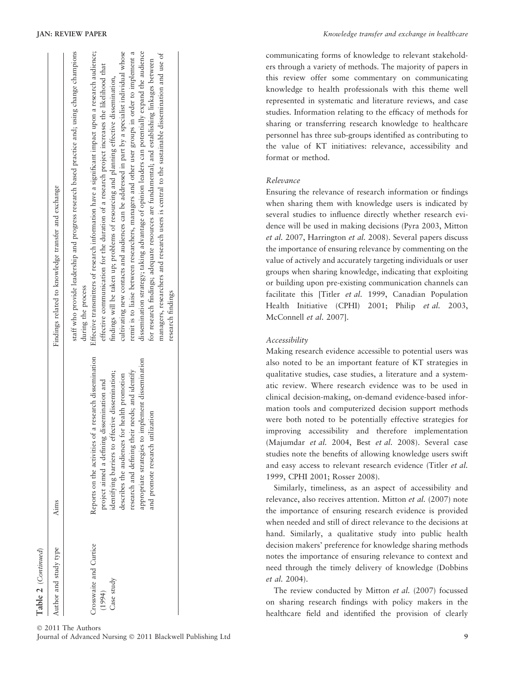| Aims                                                                                                                                                                                                                                                                                                                                                   | Findings related to knowledge transfer and exchange                                                                                                                                                                                                                                                                                                                                                                                                                                                                                                                                                                                                                                                                                                                                                                                                                                                                                                   |
|--------------------------------------------------------------------------------------------------------------------------------------------------------------------------------------------------------------------------------------------------------------------------------------------------------------------------------------------------------|-------------------------------------------------------------------------------------------------------------------------------------------------------------------------------------------------------------------------------------------------------------------------------------------------------------------------------------------------------------------------------------------------------------------------------------------------------------------------------------------------------------------------------------------------------------------------------------------------------------------------------------------------------------------------------------------------------------------------------------------------------------------------------------------------------------------------------------------------------------------------------------------------------------------------------------------------------|
| Reports on the activities of a research dissemination<br>appropriate strategies to implement dissemination<br>research and defining their needs; and identify<br>identifying barriers to effective dissemination;<br>describes the audiences for health promotion<br>project aimed a defining dissemination and<br>utilization<br>and promote research | staff who provide leadership and progress research based practice and; using change champions<br>Effective transmitters of research information have a significant impact upon a research audience;<br>cultivating new contacts and audiences can be addressed in part by a specialist individual whose<br>dissemination strategy; taking advantage of opinion leaders can potentially expand the audience<br>remit is to liaise between researchers, managers and other user groups in order to implement a<br>managers, researchers and research users is central to the sustainable dissemination and use of<br>for research findings; adequate resources are fundamental; and establishing linkages between<br>effective communication for the duration of a research project increases the likelihood that<br>findings will be taken up; problems of resourcing and planning effective dissemination,<br>during the process<br>research findings |
|                                                                                                                                                                                                                                                                                                                                                        |                                                                                                                                                                                                                                                                                                                                                                                                                                                                                                                                                                                                                                                                                                                                                                                                                                                                                                                                                       |

Table 2 (Continued)

Table 2 (Continued)

communicating forms of knowledge to relevant stakeholders through a variety of methods. The majority of papers in this review offer some commentary on communicating knowledge to health professionals with this theme well represented in systematic and literature reviews, and case studies. Information relating to the efficacy of methods for sharing or transferring research knowledge to healthcare personnel has three sub-groups identified as contributing to the value of KT initiatives: relevance, accessibility and format or method.

# Relevance

Ensuring the relevance of research information or findings when sharing them with knowledge users is indicated by several studies to influence directly whether research evidence will be used in making decisions (Pyra 2003, Mitton et al. 2007, Harrington et al. 2008). Several papers discuss the importance of ensuring relevance by commenting on the value of actively and accurately targeting individuals or user groups when sharing knowledge, indicating that exploiting or building upon pre-existing communication channels can facilitate this [Titler et al. 1999, Canadian Population Health Initiative (CPHI) 2001; Philip et al. 2003, McConnell et al. 2007].

# Accessibility

Making research evidence accessible to potential users was also noted to be an important feature of KT strategies in qualitative studies, case studies, a literature and a systematic review. Where research evidence was to be used in clinical decision-making, on-demand evidence-based information tools and computerized decision support methods were both noted to be potentially effective strategies for improving accessibility and therefore implementation (Majumdar et al. 2004, Best et al. 2008). Several case studies note the benefits of allowing knowledge users swift and easy access to relevant research evidence (Titler et al. 1999, CPHI 2001; Rosser 2008).

Similarly, timeliness, as an aspect of accessibility and relevance, also receives attention. Mitton et al. (2007) note the importance of ensuring research evidence is provided when needed and still of direct relevance to the decisions at hand. Similarly, a qualitative study into public health decision makers' preference for knowledge sharing methods notes the importance of ensuring relevance to context and need through the timely delivery of knowledge (Dobbins et al. 2004).

The review conducted by Mitton et al. (2007) focussed on sharing research findings with policy makers in the healthcare field and identified the provision of clearly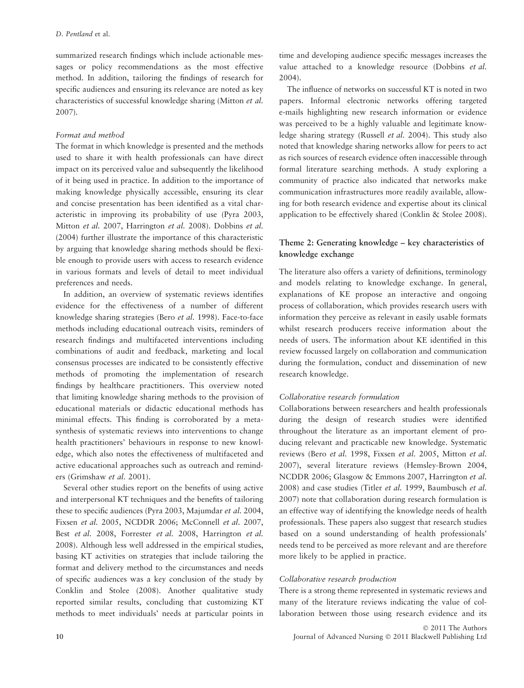summarized research findings which include actionable messages or policy recommendations as the most effective method. In addition, tailoring the findings of research for specific audiences and ensuring its relevance are noted as key characteristics of successful knowledge sharing (Mitton et al. 2007).

#### Format and method

The format in which knowledge is presented and the methods used to share it with health professionals can have direct impact on its perceived value and subsequently the likelihood of it being used in practice. In addition to the importance of making knowledge physically accessible, ensuring its clear and concise presentation has been identified as a vital characteristic in improving its probability of use (Pyra 2003, Mitton et al. 2007, Harrington et al. 2008). Dobbins et al. (2004) further illustrate the importance of this characteristic by arguing that knowledge sharing methods should be flexible enough to provide users with access to research evidence in various formats and levels of detail to meet individual preferences and needs.

In addition, an overview of systematic reviews identifies evidence for the effectiveness of a number of different knowledge sharing strategies (Bero et al. 1998). Face-to-face methods including educational outreach visits, reminders of research findings and multifaceted interventions including combinations of audit and feedback, marketing and local consensus processes are indicated to be consistently effective methods of promoting the implementation of research findings by healthcare practitioners. This overview noted that limiting knowledge sharing methods to the provision of educational materials or didactic educational methods has minimal effects. This finding is corroborated by a metasynthesis of systematic reviews into interventions to change health practitioners' behaviours in response to new knowledge, which also notes the effectiveness of multifaceted and active educational approaches such as outreach and reminders (Grimshaw et al. 2001).

Several other studies report on the benefits of using active and interpersonal KT techniques and the benefits of tailoring these to specific audiences (Pyra 2003, Majumdar et al. 2004, Fixsen et al. 2005, NCDDR 2006; McConnell et al. 2007, Best et al. 2008, Forrester et al. 2008, Harrington et al. 2008). Although less well addressed in the empirical studies, basing KT activities on strategies that include tailoring the format and delivery method to the circumstances and needs of specific audiences was a key conclusion of the study by Conklin and Stolee (2008). Another qualitative study reported similar results, concluding that customizing KT methods to meet individuals' needs at particular points in time and developing audience specific messages increases the value attached to a knowledge resource (Dobbins et al. 2004).

The influence of networks on successful KT is noted in two papers. Informal electronic networks offering targeted e-mails highlighting new research information or evidence was perceived to be a highly valuable and legitimate knowledge sharing strategy (Russell et al. 2004). This study also noted that knowledge sharing networks allow for peers to act as rich sources of research evidence often inaccessible through formal literature searching methods. A study exploring a community of practice also indicated that networks make communication infrastructures more readily available, allowing for both research evidence and expertise about its clinical application to be effectively shared (Conklin & Stolee 2008).

# Theme 2: Generating knowledge – key characteristics of knowledge exchange

The literature also offers a variety of definitions, terminology and models relating to knowledge exchange. In general, explanations of KE propose an interactive and ongoing process of collaboration, which provides research users with information they perceive as relevant in easily usable formats whilst research producers receive information about the needs of users. The information about KE identified in this review focussed largely on collaboration and communication during the formulation, conduct and dissemination of new research knowledge.

# Collaborative research formulation

Collaborations between researchers and health professionals during the design of research studies were identified throughout the literature as an important element of producing relevant and practicable new knowledge. Systematic reviews (Bero et al. 1998, Fixsen et al. 2005, Mitton et al. 2007), several literature reviews (Hemsley-Brown 2004, NCDDR 2006; Glasgow & Emmons 2007, Harrington et al. 2008) and case studies (Titler et al. 1999, Baumbusch et al. 2007) note that collaboration during research formulation is an effective way of identifying the knowledge needs of health professionals. These papers also suggest that research studies based on a sound understanding of health professionals' needs tend to be perceived as more relevant and are therefore more likely to be applied in practice.

# Collaborative research production

There is a strong theme represented in systematic reviews and many of the literature reviews indicating the value of collaboration between those using research evidence and its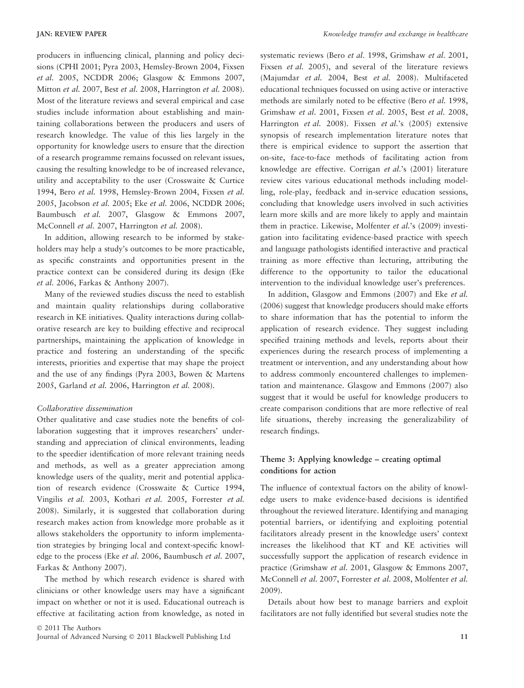producers in influencing clinical, planning and policy decisions (CPHI 2001; Pyra 2003, Hemsley-Brown 2004, Fixsen et al. 2005, NCDDR 2006; Glasgow & Emmons 2007, Mitton et al. 2007, Best et al. 2008, Harrington et al. 2008). Most of the literature reviews and several empirical and case studies include information about establishing and maintaining collaborations between the producers and users of research knowledge. The value of this lies largely in the opportunity for knowledge users to ensure that the direction of a research programme remains focussed on relevant issues, causing the resulting knowledge to be of increased relevance, utility and acceptability to the user (Crosswaite & Curtice 1994, Bero et al. 1998, Hemsley-Brown 2004, Fixsen et al. 2005, Jacobson et al. 2005; Eke et al. 2006, NCDDR 2006; Baumbusch et al. 2007, Glasgow & Emmons 2007, McConnell et al. 2007, Harrington et al. 2008).

In addition, allowing research to be informed by stakeholders may help a study's outcomes to be more practicable, as specific constraints and opportunities present in the practice context can be considered during its design (Eke et al. 2006, Farkas & Anthony 2007).

Many of the reviewed studies discuss the need to establish and maintain quality relationships during collaborative research in KE initiatives. Quality interactions during collaborative research are key to building effective and reciprocal partnerships, maintaining the application of knowledge in practice and fostering an understanding of the specific interests, priorities and expertise that may shape the project and the use of any findings (Pyra 2003, Bowen & Martens 2005, Garland et al. 2006, Harrington et al. 2008).

#### Collaborative dissemination

Other qualitative and case studies note the benefits of collaboration suggesting that it improves researchers' understanding and appreciation of clinical environments, leading to the speedier identification of more relevant training needs and methods, as well as a greater appreciation among knowledge users of the quality, merit and potential application of research evidence (Crosswaite & Curtice 1994, Vingilis et al. 2003, Kothari et al. 2005, Forrester et al. 2008). Similarly, it is suggested that collaboration during research makes action from knowledge more probable as it allows stakeholders the opportunity to inform implementation strategies by bringing local and context-specific knowledge to the process (Eke et al. 2006, Baumbusch et al. 2007, Farkas & Anthony 2007).

The method by which research evidence is shared with clinicians or other knowledge users may have a significant impact on whether or not it is used. Educational outreach is effective at facilitating action from knowledge, as noted in systematic reviews (Bero et al. 1998, Grimshaw et al. 2001, Fixsen et al. 2005), and several of the literature reviews (Majumdar et al. 2004, Best et al. 2008). Multifaceted educational techniques focussed on using active or interactive methods are similarly noted to be effective (Bero et al. 1998, Grimshaw et al. 2001, Fixsen et al. 2005, Best et al. 2008, Harrington et al. 2008). Fixsen et al.'s (2005) extensive synopsis of research implementation literature notes that there is empirical evidence to support the assertion that on-site, face-to-face methods of facilitating action from knowledge are effective. Corrigan et al.'s (2001) literature review cites various educational methods including modelling, role-play, feedback and in-service education sessions, concluding that knowledge users involved in such activities learn more skills and are more likely to apply and maintain them in practice. Likewise, Molfenter et al.'s (2009) investigation into facilitating evidence-based practice with speech and language pathologists identified interactive and practical training as more effective than lecturing, attributing the difference to the opportunity to tailor the educational intervention to the individual knowledge user's preferences.

In addition, Glasgow and Emmons (2007) and Eke et al. (2006) suggest that knowledge producers should make efforts to share information that has the potential to inform the application of research evidence. They suggest including specified training methods and levels, reports about their experiences during the research process of implementing a treatment or intervention, and any understanding about how to address commonly encountered challenges to implementation and maintenance. Glasgow and Emmons (2007) also suggest that it would be useful for knowledge producers to create comparison conditions that are more reflective of real life situations, thereby increasing the generalizability of research findings.

# Theme 3: Applying knowledge – creating optimal conditions for action

The influence of contextual factors on the ability of knowledge users to make evidence-based decisions is identified throughout the reviewed literature. Identifying and managing potential barriers, or identifying and exploiting potential facilitators already present in the knowledge users' context increases the likelihood that KT and KE activities will successfully support the application of research evidence in practice (Grimshaw et al. 2001, Glasgow & Emmons 2007, McConnell et al. 2007, Forrester et al. 2008, Molfenter et al. 2009).

Details about how best to manage barriers and exploit facilitators are not fully identified but several studies note the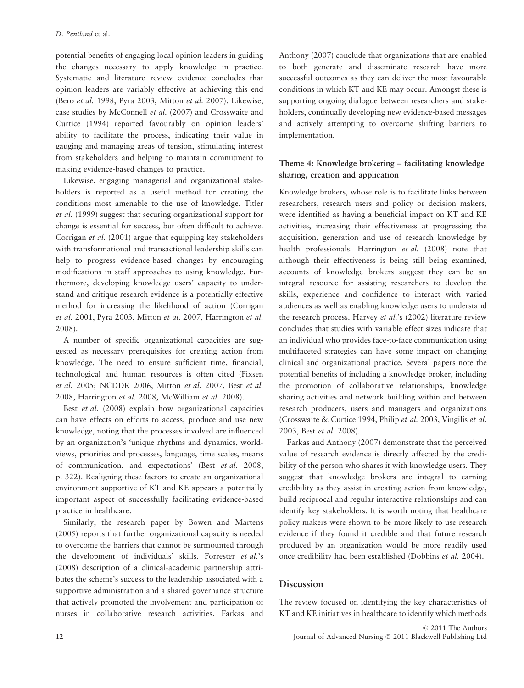potential benefits of engaging local opinion leaders in guiding the changes necessary to apply knowledge in practice. Systematic and literature review evidence concludes that opinion leaders are variably effective at achieving this end (Bero et al. 1998, Pyra 2003, Mitton et al. 2007). Likewise, case studies by McConnell et al. (2007) and Crosswaite and Curtice (1994) reported favourably on opinion leaders' ability to facilitate the process, indicating their value in gauging and managing areas of tension, stimulating interest from stakeholders and helping to maintain commitment to making evidence-based changes to practice.

Likewise, engaging managerial and organizational stakeholders is reported as a useful method for creating the conditions most amenable to the use of knowledge. Titler et al. (1999) suggest that securing organizational support for change is essential for success, but often difficult to achieve. Corrigan et al. (2001) argue that equipping key stakeholders with transformational and transactional leadership skills can help to progress evidence-based changes by encouraging modifications in staff approaches to using knowledge. Furthermore, developing knowledge users' capacity to understand and critique research evidence is a potentially effective method for increasing the likelihood of action (Corrigan et al. 2001, Pyra 2003, Mitton et al. 2007, Harrington et al. 2008).

A number of specific organizational capacities are suggested as necessary prerequisites for creating action from knowledge. The need to ensure sufficient time, financial, technological and human resources is often cited (Fixsen et al. 2005; NCDDR 2006, Mitton et al. 2007, Best et al. 2008, Harrington et al. 2008, McWilliam et al. 2008).

Best *et al.* (2008) explain how organizational capacities can have effects on efforts to access, produce and use new knowledge, noting that the processes involved are influenced by an organization's 'unique rhythms and dynamics, worldviews, priorities and processes, language, time scales, means of communication, and expectations' (Best et al. 2008, p. 322). Realigning these factors to create an organizational environment supportive of KT and KE appears a potentially important aspect of successfully facilitating evidence-based practice in healthcare.

Similarly, the research paper by Bowen and Martens (2005) reports that further organizational capacity is needed to overcome the barriers that cannot be surmounted through the development of individuals' skills. Forrester et al.'s (2008) description of a clinical-academic partnership attributes the scheme's success to the leadership associated with a supportive administration and a shared governance structure that actively promoted the involvement and participation of nurses in collaborative research activities. Farkas and

Anthony (2007) conclude that organizations that are enabled to both generate and disseminate research have more successful outcomes as they can deliver the most favourable conditions in which KT and KE may occur. Amongst these is supporting ongoing dialogue between researchers and stakeholders, continually developing new evidence-based messages and actively attempting to overcome shifting barriers to implementation.

# Theme 4: Knowledge brokering – facilitating knowledge sharing, creation and application

Knowledge brokers, whose role is to facilitate links between researchers, research users and policy or decision makers, were identified as having a beneficial impact on KT and KE activities, increasing their effectiveness at progressing the acquisition, generation and use of research knowledge by health professionals. Harrington et al. (2008) note that although their effectiveness is being still being examined, accounts of knowledge brokers suggest they can be an integral resource for assisting researchers to develop the skills, experience and confidence to interact with varied audiences as well as enabling knowledge users to understand the research process. Harvey et al.'s (2002) literature review concludes that studies with variable effect sizes indicate that an individual who provides face-to-face communication using multifaceted strategies can have some impact on changing clinical and organizational practice. Several papers note the potential benefits of including a knowledge broker, including the promotion of collaborative relationships, knowledge sharing activities and network building within and between research producers, users and managers and organizations (Crosswaite & Curtice 1994, Philip et al. 2003, Vingilis et al. 2003, Best et al. 2008).

Farkas and Anthony (2007) demonstrate that the perceived value of research evidence is directly affected by the credibility of the person who shares it with knowledge users. They suggest that knowledge brokers are integral to earning credibility as they assist in creating action from knowledge, build reciprocal and regular interactive relationships and can identify key stakeholders. It is worth noting that healthcare policy makers were shown to be more likely to use research evidence if they found it credible and that future research produced by an organization would be more readily used once credibility had been established (Dobbins et al. 2004).

### Discussion

The review focused on identifying the key characteristics of KT and KE initiatives in healthcare to identify which methods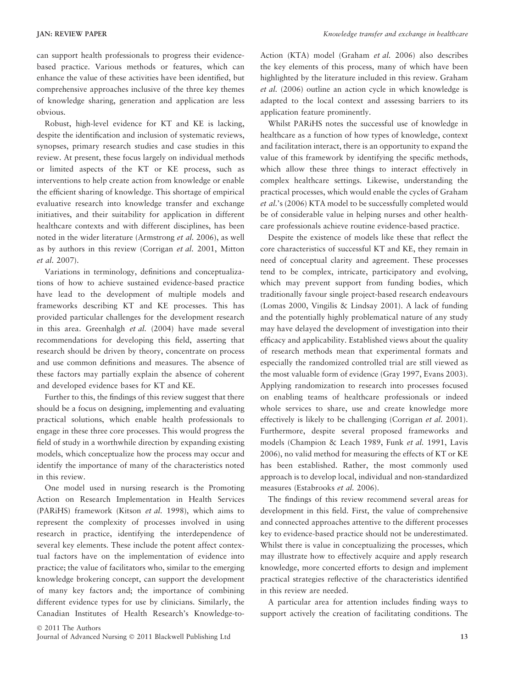can support health professionals to progress their evidencebased practice. Various methods or features, which can enhance the value of these activities have been identified, but comprehensive approaches inclusive of the three key themes of knowledge sharing, generation and application are less obvious.

Robust, high-level evidence for KT and KE is lacking, despite the identification and inclusion of systematic reviews, synopses, primary research studies and case studies in this review. At present, these focus largely on individual methods or limited aspects of the KT or KE process, such as interventions to help create action from knowledge or enable the efficient sharing of knowledge. This shortage of empirical evaluative research into knowledge transfer and exchange initiatives, and their suitability for application in different healthcare contexts and with different disciplines, has been noted in the wider literature (Armstrong et al. 2006), as well as by authors in this review (Corrigan et al. 2001, Mitton et al. 2007).

Variations in terminology, definitions and conceptualizations of how to achieve sustained evidence-based practice have lead to the development of multiple models and frameworks describing KT and KE processes. This has provided particular challenges for the development research in this area. Greenhalgh et al. (2004) have made several recommendations for developing this field, asserting that research should be driven by theory, concentrate on process and use common definitions and measures. The absence of these factors may partially explain the absence of coherent and developed evidence bases for KT and KE.

Further to this, the findings of this review suggest that there should be a focus on designing, implementing and evaluating practical solutions, which enable health professionals to engage in these three core processes. This would progress the field of study in a worthwhile direction by expanding existing models, which conceptualize how the process may occur and identify the importance of many of the characteristics noted in this review.

One model used in nursing research is the Promoting Action on Research Implementation in Health Services (PARiHS) framework (Kitson et al. 1998), which aims to represent the complexity of processes involved in using research in practice, identifying the interdependence of several key elements. These include the potent affect contextual factors have on the implementation of evidence into practice; the value of facilitators who, similar to the emerging knowledge brokering concept, can support the development of many key factors and; the importance of combining different evidence types for use by clinicians. Similarly, the Canadian Institutes of Health Research's Knowledge-toAction (KTA) model (Graham et al. 2006) also describes the key elements of this process, many of which have been highlighted by the literature included in this review. Graham et al. (2006) outline an action cycle in which knowledge is adapted to the local context and assessing barriers to its application feature prominently.

Whilst PARiHS notes the successful use of knowledge in healthcare as a function of how types of knowledge, context and facilitation interact, there is an opportunity to expand the value of this framework by identifying the specific methods, which allow these three things to interact effectively in complex healthcare settings. Likewise, understanding the practical processes, which would enable the cycles of Graham et al.'s (2006) KTA model to be successfully completed would be of considerable value in helping nurses and other healthcare professionals achieve routine evidence-based practice.

Despite the existence of models like these that reflect the core characteristics of successful KT and KE, they remain in need of conceptual clarity and agreement. These processes tend to be complex, intricate, participatory and evolving, which may prevent support from funding bodies, which traditionally favour single project-based research endeavours (Lomas 2000, Vingilis & Lindsay 2001). A lack of funding and the potentially highly problematical nature of any study may have delayed the development of investigation into their efficacy and applicability. Established views about the quality of research methods mean that experimental formats and especially the randomized controlled trial are still viewed as the most valuable form of evidence (Gray 1997, Evans 2003). Applying randomization to research into processes focused on enabling teams of healthcare professionals or indeed whole services to share, use and create knowledge more effectively is likely to be challenging (Corrigan et al. 2001). Furthermore, despite several proposed frameworks and models (Champion & Leach 1989, Funk et al. 1991, Lavis 2006), no valid method for measuring the effects of KT or KE has been established. Rather, the most commonly used approach is to develop local, individual and non-standardized measures (Estabrooks et al. 2006).

The findings of this review recommend several areas for development in this field. First, the value of comprehensive and connected approaches attentive to the different processes key to evidence-based practice should not be underestimated. Whilst there is value in conceptualizing the processes, which may illustrate how to effectively acquire and apply research knowledge, more concerted efforts to design and implement practical strategies reflective of the characteristics identified in this review are needed.

A particular area for attention includes finding ways to support actively the creation of facilitating conditions. The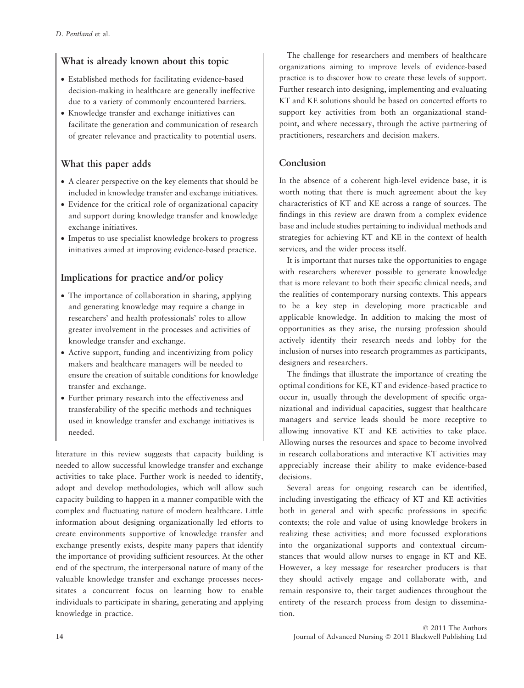# What is already known about this topic

- Established methods for facilitating evidence-based decision-making in healthcare are generally ineffective due to a variety of commonly encountered barriers.
- Knowledge transfer and exchange initiatives can facilitate the generation and communication of research of greater relevance and practicality to potential users.

# What this paper adds

- A clearer perspective on the key elements that should be included in knowledge transfer and exchange initiatives.
- Evidence for the critical role of organizational capacity and support during knowledge transfer and knowledge exchange initiatives.
- Impetus to use specialist knowledge brokers to progress initiatives aimed at improving evidence-based practice.

# Implications for practice and/or policy

- The importance of collaboration in sharing, applying and generating knowledge may require a change in researchers' and health professionals' roles to allow greater involvement in the processes and activities of knowledge transfer and exchange.
- Active support, funding and incentivizing from policy makers and healthcare managers will be needed to ensure the creation of suitable conditions for knowledge transfer and exchange.
- Further primary research into the effectiveness and transferability of the specific methods and techniques used in knowledge transfer and exchange initiatives is needed.

literature in this review suggests that capacity building is needed to allow successful knowledge transfer and exchange activities to take place. Further work is needed to identify, adopt and develop methodologies, which will allow such capacity building to happen in a manner compatible with the complex and fluctuating nature of modern healthcare. Little information about designing organizationally led efforts to create environments supportive of knowledge transfer and exchange presently exists, despite many papers that identify the importance of providing sufficient resources. At the other end of the spectrum, the interpersonal nature of many of the valuable knowledge transfer and exchange processes necessitates a concurrent focus on learning how to enable individuals to participate in sharing, generating and applying knowledge in practice.

The challenge for researchers and members of healthcare organizations aiming to improve levels of evidence-based practice is to discover how to create these levels of support. Further research into designing, implementing and evaluating KT and KE solutions should be based on concerted efforts to support key activities from both an organizational standpoint, and where necessary, through the active partnering of practitioners, researchers and decision makers.

# Conclusion

In the absence of a coherent high-level evidence base, it is worth noting that there is much agreement about the key characteristics of KT and KE across a range of sources. The findings in this review are drawn from a complex evidence base and include studies pertaining to individual methods and strategies for achieving KT and KE in the context of health services, and the wider process itself.

It is important that nurses take the opportunities to engage with researchers wherever possible to generate knowledge that is more relevant to both their specific clinical needs, and the realities of contemporary nursing contexts. This appears to be a key step in developing more practicable and applicable knowledge. In addition to making the most of opportunities as they arise, the nursing profession should actively identify their research needs and lobby for the inclusion of nurses into research programmes as participants, designers and researchers.

The findings that illustrate the importance of creating the optimal conditions for KE, KT and evidence-based practice to occur in, usually through the development of specific organizational and individual capacities, suggest that healthcare managers and service leads should be more receptive to allowing innovative KT and KE activities to take place. Allowing nurses the resources and space to become involved in research collaborations and interactive KT activities may appreciably increase their ability to make evidence-based decisions.

Several areas for ongoing research can be identified, including investigating the efficacy of KT and KE activities both in general and with specific professions in specific contexts; the role and value of using knowledge brokers in realizing these activities; and more focussed explorations into the organizational supports and contextual circumstances that would allow nurses to engage in KT and KE. However, a key message for researcher producers is that they should actively engage and collaborate with, and remain responsive to, their target audiences throughout the entirety of the research process from design to dissemination.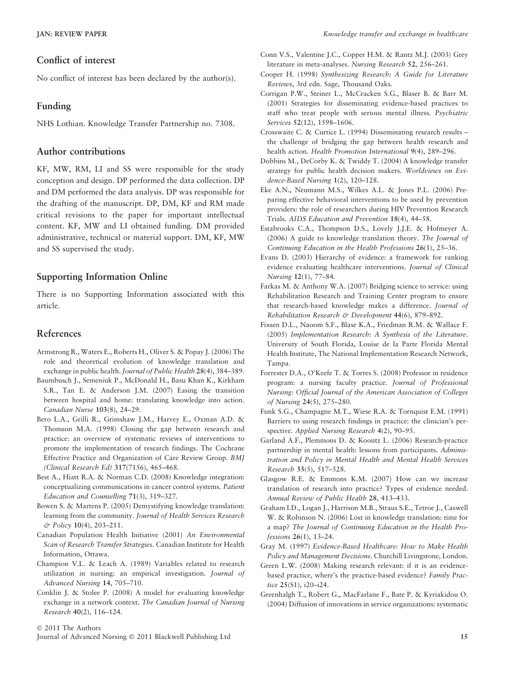### Conflict of interest

No conflict of interest has been declared by the author(s).

### Funding

NHS Lothian. Knowledge Transfer Partnership no. 7308.

### Author contributions

KF, MW, RM, LI and SS were responsible for the study conception and design. DP performed the data collection. DP and DM performed the data analysis. DP was responsible for the drafting of the manuscript. DP, DM, KF and RM made critical revisions to the paper for important intellectual content. KF, MW and LI obtained funding. DM provided administrative, technical or material support. DM, KF, MW and SS supervised the study.

## Supporting Information Online

There is no Supporting Information associated with this article.

### References

- Armstrong R., Waters E., Roberts H., Oliver S. & Popay J. (2006) The role and theoretical evolution of knowledge translation and exchange in public health. Journal of Public Health 28(4), 384-389.
- Baumbusch J., Semeniuk P., McDonald H., Basu Khan K., Kirkham S.R., Tan E. & Anderson J.M. (2007) Easing the transition between hospital and home: translating knowledge into action. Canadian Nurse 103(8), 24–29.
- Bero L.A., Grilli R., Grimshaw J.M., Harvey E., Oxman A.D. & Thomson M.A. (1998) Closing the gap between research and practice: an overview of systematic reviews of interventions to promote the implementation of research findings. The Cochrane Effective Practice and Organization of Care Review Group. BMJ (Clinical Research Ed) 317(7156), 465–468.
- Best A., Hiatt R.A. & Norman C.D. (2008) Knowledge integration: conceptualizing communications in cancer control systems. Patient Education and Counselling 71(3), 319–327.
- Bowen S. & Martens P. (2005) Demystifying knowledge translation: learning from the community. Journal of Health Services Research & Policy 10(4), 203–211.
- Canadian Population Health Initiative (2001) An Environmental Scan of Research Transfer Strategies. Canadian Institute for Health Information, Ottawa.
- Champion V.L. & Leach A. (1989) Variables related to research utilization in nursing: an empirical investigation. Journal of Advanced Nursing 14, 705–710.
- Conklin J. & Stolee P. (2008) A model for evaluating knowledge exchange in a network context. The Canadian Journal of Nursing Research 40(2), 116–124.
- Conn V.S., Valentine J.C., Copper H.M. & Rantz M.J. (2003) Grey literature in meta-analyses. Nursing Research 52, 256–261.
- Cooper H. (1998) Synthesizing Research: A Guide for Literature Reviews, 3rd edn. Sage, Thousand Oaks.
- Corrigan P.W., Steiner L., McCracken S.G., Blaser B. & Barr M. (2001) Strategies for disseminating evidence-based practices to staff who treat people with serious mental illness. Psychiatric Services 52(12), 1598–1606.
- Crosswaite C. & Curtice L. (1994) Disseminating research results the challenge of bridging the gap between health research and health action. Health Promotion International 9(4), 289–296.
- Dobbins M., DeCorby K. & Twiddy T. (2004) A knowledge transfer strategy for public health decision makers. Worldviews on Evidence-Based Nursing 1(2), 120–128.
- Eke A.N., Neumann M.S., Wilkes A.L. & Jones P.L. (2006) Preparing effective behavioral interventions to be used by prevention providers: the role of researchers during HIV Prevention Research Trials. AIDS Education and Prevention 18(4), 44–58.
- Estabrooks C.A., Thompson D.S., Lovely J.J.E. & Hofmeyer A. (2006) A guide to knowledge translation theory. The Journal of Continuing Education in the Health Professions 26(1), 25–36.
- Evans D. (2003) Hierarchy of evidence: a framework for ranking evidence evaluating healthcare interventions. Journal of Clinical Nursing 12(1), 77–84.
- Farkas M. & Anthony W.A. (2007) Bridging science to service: using Rehabilitation Research and Training Center program to ensure that research-based knowledge makes a difference. Journal of Rehabilitation Research & Development 44(6), 879-892.
- Fixsen D.L., Naoom S.F., Blase K.A., Friedman R.M. & Wallace F. (2005) Implementation Research: A Synthesis of the Literature. University of South Florida, Louise de la Parte Florida Mental Health Institute, The National Implementation Research Network, Tampa.
- Forrester D.A., O'Keefe T. & Torres S. (2008) Professor in residence program: a nursing faculty practice. Journal of Professional Nursing: Official Journal of the American Association of Colleges of Nursing 24(5), 275–280.
- Funk S.G., Champagne M.T., Wiese R.A. & Tornquist E.M. (1991) Barriers to using research findings in practice: the clinician's perspective. Applied Nursing Research 4(2), 90–95.
- Garland A.F., Plemmons D. & Koontz L. (2006) Research-practice partnership in mental health: lessons from participants. Administration and Policy in Mental Health and Mental Health Services Research 33(5), 517–528.
- Glasgow R.E. & Emmons K.M. (2007) How can we increase translation of research into practice? Types of evidence needed. Annual Review of Public Health 28, 413–433.
- Graham I.D., Logan J., Harrison M.B., Straus S.E., Tetroe J., Caswell W. & Robinson N. (2006) Lost in knowledge translation: time for a map? The Journal of Continuing Education in the Health Professions 26(1), 13–24.
- Gray M. (1997) Evidence-Based Healthcare: How to Make Health Policy and Management Decisions. Churchill Livingstone, London.
- Green L.W. (2008) Making research relevant: if it is an evidencebased practice, where's the practice-based evidence? Family Practice 25(S1), i20–i24.
- Greenhalgh T., Robert G., MacFarlane F., Bate P. & Kyriakidou O. (2004) Diffusion of innovations in service organizations: systematic

© 2011 The Authors

Journal of Advanced Nursing © 2011 Blackwell Publishing Ltd 15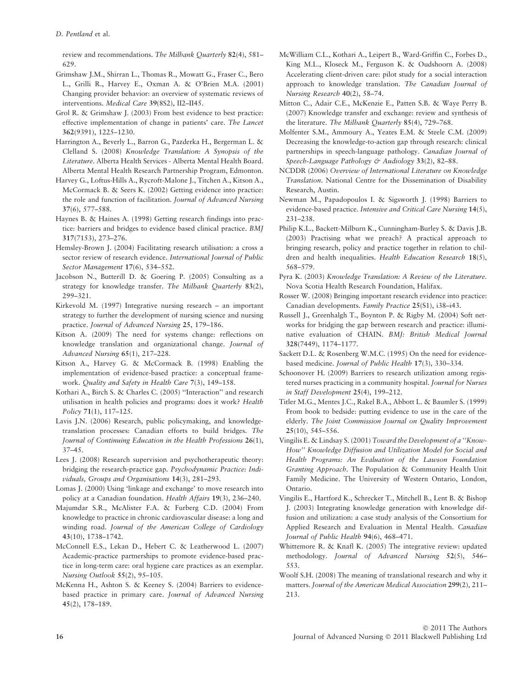review and recommendations. The Milbank Quarterly 82(4), 581– 629.

- Grimshaw J.M., Shirran L., Thomas R., Mowatt G., Fraser C., Bero L., Grilli R., Harvey E., Oxman A. & O'Brien M.A. (2001) Changing provider behavior: an overview of systematic reviews of interventions. Medical Care 39(8S2), II2–II45.
- Grol R. & Grimshaw J. (2003) From best evidence to best practice: effective implementation of change in patients' care. The Lancet 362(9391), 1225–1230.
- Harrington A., Beverly L., Barron G., Pazderka H., Bergerman L. & Clelland S. (2008) Knowledge Translation: A Synopsis of the Literature. Alberta Health Services - Alberta Mental Health Board. Alberta Mental Health Research Partnership Program, Edmonton.
- Harvey G., Loftus-Hills A., Rycroft-Malone J., Titchen A., Kitson A., McCormack B. & Seers K. (2002) Getting evidence into practice: the role and function of facilitation. Journal of Advanced Nursing 37(6), 577–588.
- Haynes B. & Haines A. (1998) Getting research findings into practice: barriers and bridges to evidence based clinical practice. BMJ 317(7153), 273–276.
- Hemsley-Brown J. (2004) Facilitating research utilisation: a cross a sector review of research evidence. International Journal of Public Sector Management 17(6), 534–552.
- Jacobson N., Butterill D. & Goering P. (2005) Consulting as a strategy for knowledge transfer. The Milbank Quarterly 83(2), 299–321.
- Kirkevold M. (1997) Integrative nursing research an important strategy to further the development of nursing science and nursing practice. Journal of Advanced Nursing 25, 179–186.
- Kitson A. (2009) The need for systems change: reflections on knowledge translation and organizational change. Journal of Advanced Nursing 65(1), 217–228.
- Kitson A., Harvey G. & McCormack B. (1998) Enabling the implementation of evidence-based practice: a conceptual framework. Quality and Safety in Health Care 7(3), 149–158.
- Kothari A., Birch S. & Charles C. (2005) ''Interaction'' and research utilisation in health policies and programs: does it work? Health Policy 71(1), 117–125.
- Lavis J.N. (2006) Research, public policymaking, and knowledgetranslation processes: Canadian efforts to build bridges. The Journal of Continuing Education in the Health Professions 26(1), 37–45.
- Lees J. (2008) Research supervision and psychotherapeutic theory: bridging the research-practice gap. Psychodynamic Practice: Individuals, Groups and Organisations 14(3), 281–293.
- Lomas J. (2000) Using 'linkage and exchange' to move research into policy at a Canadian foundation. Health Affairs 19(3), 236–240.
- Majumdar S.R., McAlister F.A. & Furberg C.D. (2004) From knowledge to practice in chronic cardiovascular disease: a long and winding road. Journal of the American College of Cardiology 43(10), 1738–1742.
- McConnell E.S., Lekan D., Hebert C. & Leatherwood L. (2007) Academic-practice partnerships to promote evidence-based practice in long-term care: oral hygiene care practices as an exemplar. Nursing Outlook 55(2), 95–105.
- McKenna H., Ashton S. & Keeney S. (2004) Barriers to evidencebased practice in primary care. Journal of Advanced Nursing 45(2), 178–189.
- McWilliam C.L., Kothari A., Leipert B., Ward-Griffin C., Forbes D., King M.L., Kloseck M., Ferguson K. & Oudshoorn A. (2008) Accelerating client-driven care: pilot study for a social interaction approach to knowledge translation. The Canadian Journal of Nursing Research 40(2), 58–74.
- Mitton C., Adair C.E., McKenzie E., Patten S.B. & Waye Perry B. (2007) Knowledge transfer and exchange: review and synthesis of the literature. The Milbank Quarterly 85(4), 729–768.
- Molfenter S.M., Ammoury A., Yeates E.M. & Steele C.M. (2009) Decreasing the knowledge-to-action gap through research: clinical partnerships in speech-language pathology. Canadian Journal of Speech-Language Pathology & Audiology 33(2), 82-88.
- NCDDR (2006) Overview of International Literature on Knowledge Translation. National Centre for the Dissemination of Disability Research, Austin.
- Newman M., Papadopoulos I. & Sigsworth J. (1998) Barriers to evidence-based practice. Intensive and Critical Care Nursing 14(5), 231–238.
- Philip K.L., Backett-Milburn K., Cunningham-Burley S. & Davis J.B. (2003) Practising what we preach? A practical approach to bringing research, policy and practice together in relation to children and health inequalities. Health Education Research 18(5), 568–579.
- Pyra K. (2003) Knowledge Translation: A Review of the Literature. Nova Scotia Health Research Foundation, Halifax.
- Rosser W. (2008) Bringing important research evidence into practice: Canadian developments. Family Practice 25(S1), i38–i43.
- Russell J., Greenhalgh T., Boynton P. & Rigby M. (2004) Soft networks for bridging the gap between research and practice: illuminative evaluation of CHAIN. BMJ: British Medical Journal 328(7449), 1174–1177.
- Sackett D.L. & Rosenberg W.M.C. (1995) On the need for evidencebased medicine. Journal of Public Health 17(3), 330–334.
- Schoonover H. (2009) Barriers to research utilization among registered nurses practicing in a community hospital. Journal for Nurses in Staff Development 25(4), 199–212.
- Titler M.G., Mentes J.C., Rakel B.A., Abbott L. & Baumler S. (1999) From book to bedside: putting evidence to use in the care of the elderly. The Joint Commission Journal on Quality Improvement 25(10), 545–556.
- Vingilis E. & Lindsay S. (2001) Toward the Development of a ''Know-How'' Knowledge Diffusion and Utilization Model for Social and Health Programs: An Evaluation of the Lawson Foundation Granting Approach. The Population & Community Health Unit Family Medicine. The University of Western Ontario, London, Ontario.
- Vingilis E., Hartford K., Schrecker T., Mitchell B., Lent B. & Bishop J. (2003) Integrating knowledge generation with knowledge diffusion and utilization: a case study analysis of the Consortium for Applied Research and Evaluation in Mental Health. Canadian Journal of Public Health 94(6), 468–471.
- Whittemore R. & Knafl K. (2005) The integrative review: updated methodology. Journal of Advanced Nursing 52(5), 546– 553.
- Woolf S.H. (2008) The meaning of translational research and why it matters. Journal of the American Medical Association 299(2), 211– 213.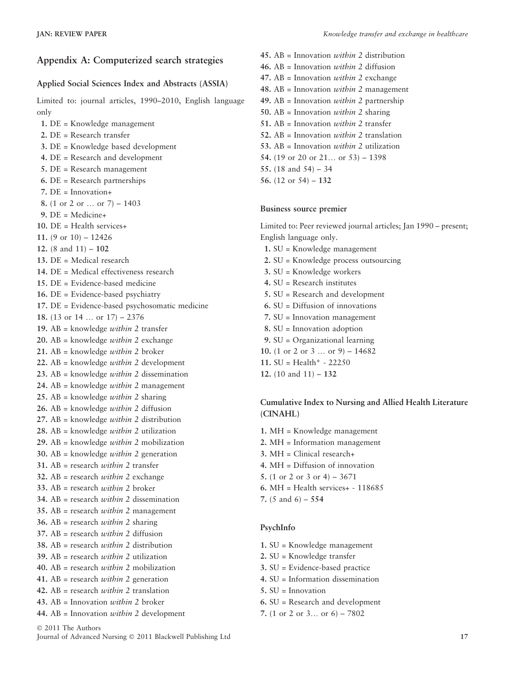# Appendix A: Computerized search strategies

## Applied Social Sciences Index and Abstracts (ASSIA)

Limited to: journal articles, 1990–2010, English language only

1. DE = Knowledge management 2. DE = Research transfer 3. DE = Knowledge based development 4. DE = Research and development 5. DE = Research management 6. DE = Research partnerships 7. DE = Innovation+ 8. (1 or 2 or … or 7) – 1403  $9.$  DE = Medicine+ 10. DE = Health services+ 11. (9 or  $10$ ) – 12426 12. (8 and 11) – 102 13. DE = Medical research 14. DE = Medical effectiveness research 15. DE = Evidence-based medicine 16. DE = Evidence-based psychiatry 17. DE = Evidence-based psychosomatic medicine 18. (13 or 14 … or 17) – 2376 19. AB = knowledge *within* 2 transfer 20. AB = knowledge *within* 2 exchange 21. AB = knowledge *within* 2 broker 22. AB = knowledge *within* 2 development 23. AB = knowledge *within* 2 dissemination 24. AB = knowledge *within* 2 management 25. AB = knowledge *within* 2 sharing 26. AB = knowledge *within* 2 diffusion 27. AB = knowledge *within* 2 distribution 28. AB = knowledge *within* 2 utilization 29. AB = knowledge *within* 2 mobilization 30. AB = knowledge *within* 2 generation 31. AB = research *within* 2 transfer 32. AB = research *within* 2 exchange 33. AB = research *within* 2 broker 34. AB = research *within* 2 dissemination 35. AB = research *within* 2 management 36. AB = research *within* 2 sharing 37. AB = research *within* 2 diffusion 38. AB = research *within* 2 distribution 39. AB = research *within* 2 utilization 40. AB = research *within* 2 mobilization 41. AB = research *within* 2 generation 42.  $AB =$  research *within* 2 translation 43. AB = Innovation *within* 2 broker 44. AB = Innovation within 2 development

© 2011 The Authors

Journal of Advanced Nursing © 2011 Blackwell Publishing Ltd 17

45.  $AB = Innovation with in 2 distribution$ 46. AB = Innovation *within* 2 diffusion 47.  $AB = Innovation$  *within* 2 exchange 48. AB = Innovation *within* 2 management 49. AB = Innovation *within* 2 partnership 50. AB = Innovation *within* 2 sharing 51. AB = Innovation *within* 2 transfer 52.  $AB = Innovation with in 2 translation$ 53. AB = Innovation *within* 2 utilization 54. (19 or 20 or  $21...$  or  $53$ ) – 1398 55. (18 and 54) – 34 56. (12 or 54) – 132

#### Business source premier

Limited to: Peer reviewed journal articles; Jan 1990 – present; English language only.

- 1. SU = Knowledge management
- 2. SU = Knowledge process outsourcing
- 3. SU = Knowledge workers
- 4. SU = Research institutes
- 5. SU = Research and development
- 6. SU = Diffusion of innovations
- 7. SU = Innovation management
- 8. SU = Innovation adoption
- 9. SU = Organizational learning
- 10. (1 or 2 or 3 ... or 9)  $14682$
- 11.  $SU = Health^* 22250$
- 12. (10 and 11) 132

### Cumulative Index to Nursing and Allied Health Literature (CINAHL)

- 1. MH = Knowledge management
- 2. MH = Information management
- 3. MH = Clinical research+
- 4. MH = Diffusion of innovation
- 5. (1 or 2 or 3 or 4) 3671
- 6. MH = Health services+ 118685
- 7. (5 and 6) 554

#### PsychInfo

- 1. SU = Knowledge management
- 2. SU = Knowledge transfer
- 3. SU = Evidence-based practice
- 4. SU = Information dissemination
- 5. SU = Innovation
- 6. SU = Research and development
- 7. (1 or 2 or 3… or 6) 7802